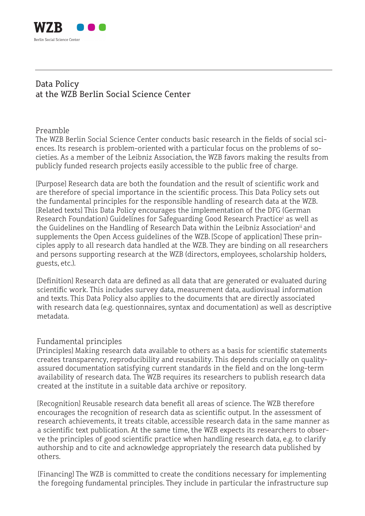

## Data Policy at the WZB Berlin Social Science Center

## Preamble

The WZB Berlin Social Science Center conducts basic research in the fields of social sciences. Its research is problem-oriented with a particular focus on the problems of societies. As a member of the Leibniz Association, the WZB favors making the results from publicly funded research projects easily accessible to the public free of charge.

[Purpose] Research data are both the foundation and the result of scientific work and are therefore of special importance in the scientific process. This Data Policy sets out the fundamental principles for the responsible handling of research data at the WZB. [Related texts] This Data Policy encourages the implementation of the DFG (German Research Foundation) Guidelines for Safeguarding Good Research Practice<sup>i</sup> as well as the Guidelines on the Handling of Research Data within the Leibniz Association<sup>ii</sup> and supplements the Open Access guidelines of the WZB. [Scope of application] These principles apply to all research data handled at the WZB. They are binding on all researchers and persons supporting research at the WZB (directors, employees, scholarship holders, guests, etc.).

[Definition] Research data are defined as all data that are generated or evaluated during scientific work. This includes survey data, measurement data, audiovisual information and texts. This Data Policy also applies to the documents that are directly associated with research data (e.g. questionnaires, syntax and documentation) as well as descriptive metadata.

## Fundamental principles

[Principles] Making research data available to others as a basis for scientific statements creates transparency, reproducibility and reusability. This depends crucially on qualityassured documentation satisfying current standards in the field and on the long-term availability of research data. The WZB requires its researchers to publish research data created at the institute in a suitable data archive or repository.

[Recognition] Reusable research data benefit all areas of science. The WZB therefore encourages the recognition of research data as scientific output. In the assessment of research achievements, it treats citable, accessible research data in the same manner as a scientific text publication. At the same time, the WZB expects its researchers to observe the principles of good scientific practice when handling research data, e.g. to clarify authorship and to cite and acknowledge appropriately the research data published by others.

[Financing] The WZB is committed to create the conditions necessary for implementing the foregoing fundamental principles. They include in particular the infrastructure sup